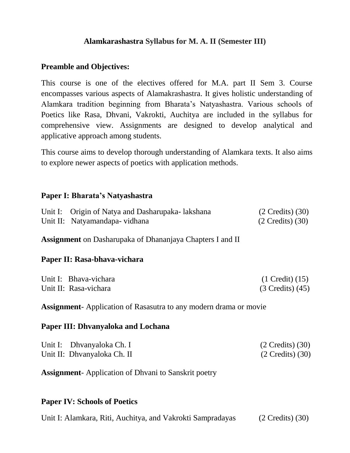# **Alamkarashastra Syllabus for M. A. II (Semester III)**

# **Preamble and Objectives:**

This course is one of the electives offered for M.A. part II Sem 3. Course encompasses various aspects of Alamakrashastra. It gives holistic understanding of Alamkara tradition beginning from Bharata's Natyashastra. Various schools of Poetics like Rasa, Dhvani, Vakrokti, Auchitya are included in the syllabus for comprehensive view. Assignments are designed to develop analytical and applicative approach among students.

This course aims to develop thorough understanding of Alamkara texts. It also aims to explore newer aspects of poetics with application methods.

### **Paper I: Bharata's Natyashastra**

| Unit I: Origin of Natya and Dasharupaka- lakshana | $(2 \text{ Credits}) (30)$ |
|---------------------------------------------------|----------------------------|
| Unit II: Natyamandapa- vidhana                    | $(2 \text{ Credits}) (30)$ |

**Assignment** on Dasharupaka of Dhananjaya Chapters I and II

# **Paper II: Rasa-bhava-vichara**

| Unit I: Bhava-vichara | $(1 \text{ Credit}) (15)$ |
|-----------------------|---------------------------|
| Unit II: Rasa-vichara | $(3$ Credits) $(45)$      |

**Assignment**- Application of Rasasutra to any modern drama or movie

### **Paper III: Dhvanyaloka and Lochana**

| Unit I: Dhvanyaloka Ch. I   | $(2 \text{ Credits}) (30)$ |
|-----------------------------|----------------------------|
| Unit II: Dhvanyaloka Ch. II | $(2 \text{ Credits}) (30)$ |

**Assignment**- Application of Dhvani to Sanskrit poetry

### **Paper IV: Schools of Poetics**

|  |  | Unit I: Alamkara, Riti, Auchitya, and Vakrokti Sampradayas | $(2 \text{ Credits}) (30)$ |
|--|--|------------------------------------------------------------|----------------------------|
|--|--|------------------------------------------------------------|----------------------------|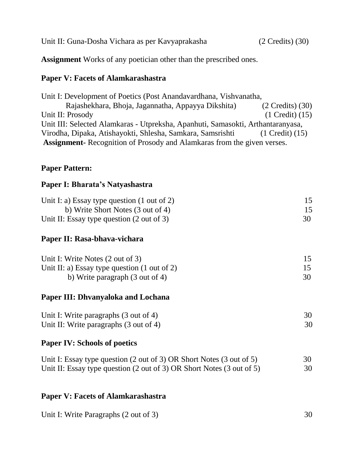**Assignment** Works of any poetician other than the prescribed ones.

### **Paper V: Facets of Alamkarashastra**

Unit I: Development of Poetics (Post Anandavardhana, Vishvanatha, Rajashekhara, Bhoja, Jagannatha, Appayya Dikshita) (2 Credits) (30) Unit II: Prosody (1 Credit) (15) Unit III: Selected Alamkaras - Utpreksha, Apanhuti, Samasokti, Arthantaranyasa, Virodha, Dipaka, Atishayokti, Shlesha, Samkara, Samsrishti (1 Credit) (15) **Assignment-** Recognition of Prosody and Alamkaras from the given verses.

# **Paper Pattern:**

### **Paper I: Bharata's Natyashastra**

| Unit I: a) Essay type question $(1 \text{ out of } 2)$ |    |
|--------------------------------------------------------|----|
| b) Write Short Notes (3 out of 4)                      |    |
| Unit II: Essay type question $(2 \text{ out of } 3)$   | 30 |

### **Paper II: Rasa-bhava-vichara**

| Unit I: Write Notes (2 out of 3)                        |  |
|---------------------------------------------------------|--|
| Unit II: a) Essay type question $(1 \text{ out of } 2)$ |  |
| b) Write paragraph (3 out of 4)                         |  |

### **Paper III: Dhvanyaloka and Lochana**

| Unit I: Write paragraphs (3 out of 4)  |  |
|----------------------------------------|--|
| Unit II: Write paragraphs (3 out of 4) |  |

### **Paper IV: Schools of poetics**

| Unit I: Essay type question $(2 \text{ out of } 3) \text{ OR Short Notes } (3 \text{ out of } 5)$  | 30 |
|----------------------------------------------------------------------------------------------------|----|
| Unit II: Essay type question $(2 \text{ out of } 3) \text{ OR Short Notes } (3 \text{ out of } 5)$ | 30 |

### **Paper V: Facets of Alamkarashastra**

Unit I: Write Paragraphs (2 out of 3) 30